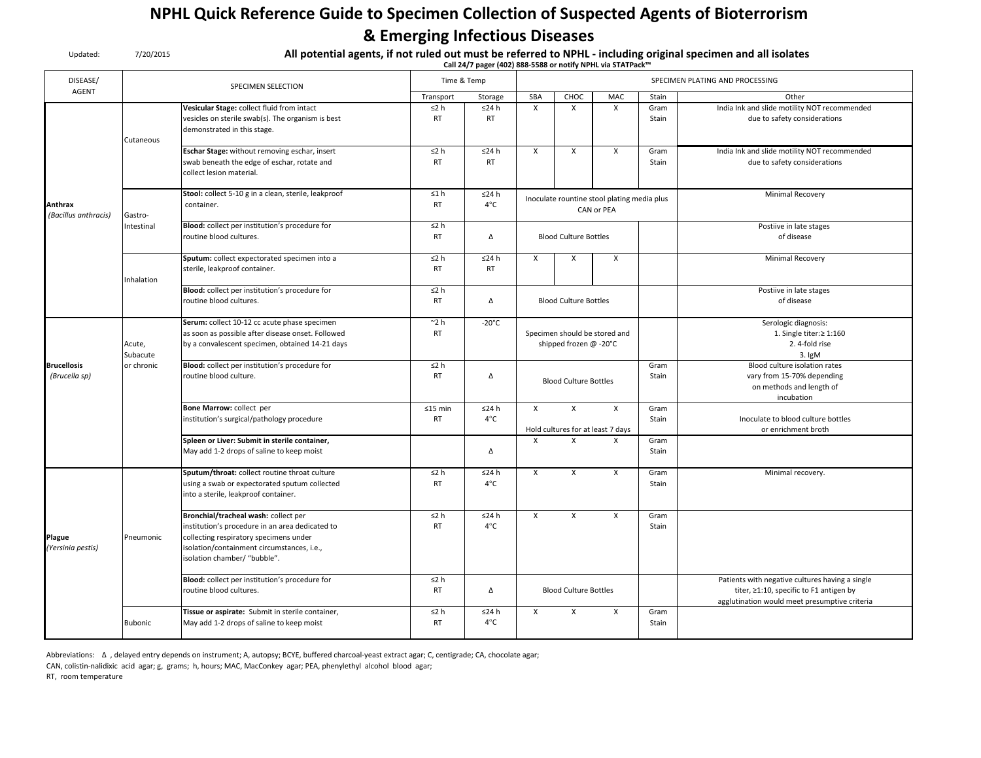## NPHL Quick Reference Guide to Specimen Collection of Suspected Agents of Bioterrorism & Emerging Infectious Diseases

| Updated:                            | 7/20/2015          | All potential agents, if not ruled out must be referred to NPHL - including original specimen and all isolates<br>Call 24/7 pager (402) 888-5588 or notify NPHL via STATPack™                                   |                                                                                              |                              |              |                                                         |                                                           |               |                                                                                                                                             |  |
|-------------------------------------|--------------------|-----------------------------------------------------------------------------------------------------------------------------------------------------------------------------------------------------------------|----------------------------------------------------------------------------------------------|------------------------------|--------------|---------------------------------------------------------|-----------------------------------------------------------|---------------|---------------------------------------------------------------------------------------------------------------------------------------------|--|
| DISEASE/                            |                    | <b>SPECIMEN SELECTION</b>                                                                                                                                                                                       |                                                                                              | Time & Temp                  |              | SPECIMEN PLATING AND PROCESSING                         |                                                           |               |                                                                                                                                             |  |
| <b>AGENT</b>                        |                    |                                                                                                                                                                                                                 | Transport                                                                                    | Storage                      | SBA          | CHOC                                                    | MAC                                                       | Stain         | Other                                                                                                                                       |  |
| Anthrax<br>(Bacillus anthracis)     | Cutaneous          | Vesicular Stage: collect fluid from intact<br>vesicles on sterile swab(s). The organism is best<br>demonstrated in this stage.                                                                                  | $\leq$ 2 h<br><b>RT</b>                                                                      | $≤24 h$<br>RT                | $\mathsf{x}$ | $\mathsf{x}$                                            | $\mathsf{x}$                                              | Gram<br>Stain | India Ink and slide motility NOT recommended<br>due to safety considerations                                                                |  |
|                                     |                    | Eschar Stage: without removing eschar, insert<br>swab beneath the edge of eschar, rotate and<br>collect lesion material.                                                                                        | $\leq$ 2 h<br><b>RT</b>                                                                      | ≤24 h<br><b>RT</b>           | X            | X                                                       | X                                                         | Gram<br>Stain | India Ink and slide motility NOT recommended<br>due to safety considerations                                                                |  |
|                                     | Gastro-            | Stool: collect 5-10 g in a clean, sterile, leakproof<br>container.                                                                                                                                              | ≤1 h<br><b>RT</b>                                                                            | ≤24 h<br>$4^{\circ}$ C       |              |                                                         | Inoculate rountine stool plating media plus<br>CAN or PEA |               | <b>Minimal Recovery</b>                                                                                                                     |  |
|                                     | Intestinal         | Blood: collect per institution's procedure for<br>routine blood cultures.                                                                                                                                       | $\leq$ 2 h<br><b>RT</b>                                                                      | Δ                            |              | <b>Blood Culture Bottles</b>                            |                                                           |               | Postiive in late stages<br>of disease                                                                                                       |  |
|                                     | Inhalation         | Sputum: collect expectorated specimen into a<br>sterile, leakproof container.                                                                                                                                   | $\leq$ 2 h<br><b>RT</b>                                                                      | $≤24 h$<br><b>RT</b>         | X            | X                                                       | X                                                         |               | Minimal Recovery                                                                                                                            |  |
|                                     |                    | Blood: collect per institution's procedure for<br>routine blood cultures.                                                                                                                                       | $\leq$ 2 h<br><b>RT</b>                                                                      | Δ                            |              | <b>Blood Culture Bottles</b>                            |                                                           |               | Postiive in late stages<br>of disease                                                                                                       |  |
|                                     | Acute,<br>Subacute | Serum: collect 10-12 cc acute phase specimen<br>as soon as possible after disease onset. Followed<br>by a convalescent specimen, obtained 14-21 days                                                            | $^{\sim}$ 2 h<br><b>RT</b>                                                                   | $-20^{\circ}$ C              |              | Specimen should be stored and<br>shipped frozen @ -20°C |                                                           |               | Serologic diagnosis:<br>1. Single titer: $\geq 1:160$<br>2.4-fold rise<br>3. IgM                                                            |  |
| <b>Brucellosis</b><br>(Brucella sp) | or chronic         | Blood: collect per institution's procedure for<br>routine blood culture.                                                                                                                                        | $\leq$ 2 h<br><b>RT</b>                                                                      | Δ                            |              | <b>Blood Culture Bottles</b>                            |                                                           |               | Blood culture isolation rates<br>vary from 15-70% depending<br>on methods and length of<br>incubation                                       |  |
|                                     |                    | Bone Marrow: collect per<br>institution's surgical/pathology procedure                                                                                                                                          | $≤24 h$<br>X<br>$≤15$ min<br>$4^{\circ}$ C<br><b>RT</b><br>Hold cultures for at least 7 days |                              |              |                                                         |                                                           | Gram<br>Stain | Inoculate to blood culture bottles<br>or enrichment broth                                                                                   |  |
|                                     |                    | Spleen or Liver: Submit in sterile container,<br>May add 1-2 drops of saline to keep moist                                                                                                                      |                                                                                              | Δ                            | $\mathsf{x}$ | X                                                       | X                                                         | Gram<br>Stain |                                                                                                                                             |  |
|                                     |                    | Sputum/throat: collect routine throat culture<br>using a swab or expectorated sputum collected<br>into a sterile, leakproof container.                                                                          | $\leq$ 2 h<br><b>RT</b>                                                                      | ≤24 h<br>$4^{\circ}$ C       | X            | X                                                       | X                                                         | Gram<br>Stain | Minimal recovery.                                                                                                                           |  |
| Plague<br>(Yersinia pestis)         | Pneumonic          | Bronchial/tracheal wash: collect per<br>institution's procedure in an area dedicated to<br>collecting respiratory specimens under<br>isolation/containment circumstances, i.e.,<br>isolation chamber/ "bubble". | $\leq 2 h$<br><b>RT</b>                                                                      | $≤24 h$<br>$4^{\circ}$ C     | X            | X                                                       | X                                                         | Gram<br>Stain |                                                                                                                                             |  |
|                                     |                    | Blood: collect per institution's procedure for<br>routine blood cultures.                                                                                                                                       | ≤2 h<br><b>RT</b>                                                                            | Δ                            |              | <b>Blood Culture Bottles</b>                            |                                                           |               | Patients with negative cultures having a single<br>titer, ≥1:10, specific to F1 antigen by<br>agglutination would meet presumptive criteria |  |
|                                     | Bubonic            | Tissue or aspirate: Submit in sterile container,<br>May add 1-2 drops of saline to keep moist                                                                                                                   | $\leq$ 2 h<br><b>RT</b>                                                                      | $\leq$ 24 h<br>$4^{\circ}$ C | $\mathsf{x}$ | $\mathsf{x}$                                            | X                                                         | Gram<br>Stain |                                                                                                                                             |  |

Abbreviations: ∆ , delayed entry depends on instrument; A, autopsy; BCYE, buffered charcoal-yeast extract agar; C, centigrade; CA, chocolate agar;

CAN, colistin-nalidixic acid agar; g, grams; h, hours; MAC, MacConkey agar; PEA, phenylethyl alcohol blood agar;

RT, room temperature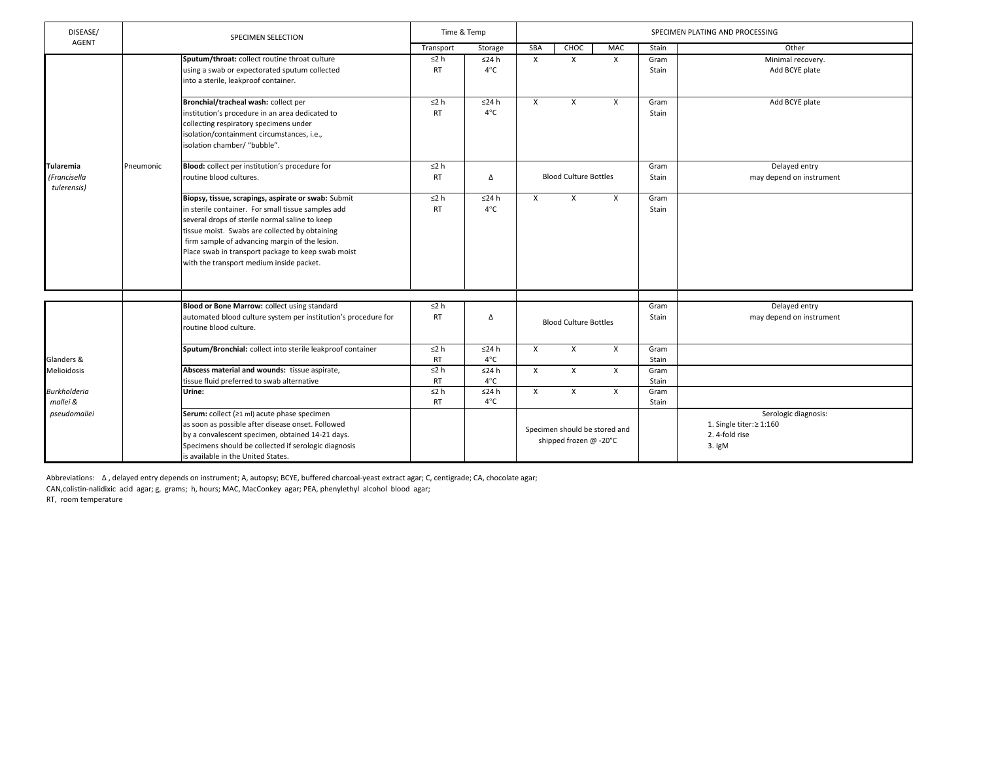| DISEASE/                                        |           | <b>SPECIMEN SELECTION</b>                                                                                                                                                                                                                                                                                                                                         |                         | Time & Temp<br>SPECIMEN PLATING AND PROCESSING |              |                                                         |              |               |                                                                                  |
|-------------------------------------------------|-----------|-------------------------------------------------------------------------------------------------------------------------------------------------------------------------------------------------------------------------------------------------------------------------------------------------------------------------------------------------------------------|-------------------------|------------------------------------------------|--------------|---------------------------------------------------------|--------------|---------------|----------------------------------------------------------------------------------|
| <b>AGENT</b>                                    |           |                                                                                                                                                                                                                                                                                                                                                                   | Transport               | Storage                                        | SBA          | CHOC                                                    | MAC          | Stain         | Other                                                                            |
|                                                 |           | Sputum/throat: collect routine throat culture<br>using a swab or expectorated sputum collected<br>into a sterile, leakproof container.                                                                                                                                                                                                                            | $\leq$ 2 h<br><b>RT</b> | ≤24 h<br>$4^{\circ}$ C                         | $\mathsf{X}$ | $\mathsf{X}$                                            | $\times$     | Gram<br>Stain | Minimal recovery.<br>Add BCYE plate                                              |
|                                                 |           | Bronchial/tracheal wash: collect per<br>institution's procedure in an area dedicated to<br>collecting respiratory specimens under<br>isolation/containment circumstances, i.e.,<br>isolation chamber/ "bubble".                                                                                                                                                   | $\leq$ 2 h<br><b>RT</b> | ≤24 h<br>$4^{\circ}$ C                         | $\mathsf{X}$ | $\mathsf{x}$                                            | $\times$     | Gram<br>Stain | Add BCYE plate                                                                   |
| <b>Tularemia</b><br>(Francisella<br>tulerensis) | Pneumonic | Blood: collect per institution's procedure for<br>routine blood cultures.                                                                                                                                                                                                                                                                                         | $\leq$ 2 h<br><b>RT</b> | Δ                                              |              | <b>Blood Culture Bottles</b>                            |              | Gram<br>Stain | Delayed entry<br>may depend on instrument                                        |
|                                                 |           | Biopsy, tissue, scrapings, aspirate or swab: Submit<br>in sterile container. For small tissue samples add<br>several drops of sterile normal saline to keep<br>tissue moist. Swabs are collected by obtaining<br>firm sample of advancing margin of the lesion.<br>Place swab in transport package to keep swab moist<br>with the transport medium inside packet. | $\leq$ 2 h<br><b>RT</b> | $\leq$ 24 h<br>$4^{\circ}$ C                   | $\mathsf{X}$ | $\mathsf{x}$                                            | $\times$     | Gram<br>Stain |                                                                                  |
|                                                 |           |                                                                                                                                                                                                                                                                                                                                                                   |                         |                                                |              |                                                         |              |               |                                                                                  |
|                                                 |           | Blood or Bone Marrow: collect using standard<br>automated blood culture system per institution's procedure for<br>routine blood culture.                                                                                                                                                                                                                          | $\leq$ 2 h<br><b>RT</b> | Δ                                              |              | <b>Blood Culture Bottles</b>                            |              | Gram<br>Stain | Delayed entry<br>may depend on instrument                                        |
| Glanders &                                      |           | Sputum/Bronchial: collect into sterile leakproof container                                                                                                                                                                                                                                                                                                        | $\leq$ 2 h<br><b>RT</b> | $\leq$ 24 h<br>$4^{\circ}$ C                   | $\mathsf{X}$ | $\mathsf{x}$                                            | $\mathsf{x}$ | Gram<br>Stain |                                                                                  |
| Melioidosis                                     |           | Abscess material and wounds: tissue aspirate,<br>tissue fluid preferred to swab alternative                                                                                                                                                                                                                                                                       | $\leq$ 2 h<br><b>RT</b> | ≤24 h<br>$4^{\circ}$ C                         | X            | X                                                       | $\times$     | Gram<br>Stain |                                                                                  |
| <b>Burkholderia</b><br>mallei &                 |           | Urine:                                                                                                                                                                                                                                                                                                                                                            | $\leq$ 2 h<br><b>RT</b> | ≤24 h<br>$4^{\circ}$ C                         | $\times$     | $\mathsf{X}$                                            | $\mathsf{x}$ | Gram<br>Stain |                                                                                  |
| pseudomallei                                    |           | Serum: collect (≥1 ml) acute phase specimen<br>as soon as possible after disease onset. Followed<br>by a convalescent specimen, obtained 14-21 days.<br>Specimens should be collected if serologic diagnosis<br>is available in the United States.                                                                                                                |                         |                                                |              | Specimen should be stored and<br>shipped frozen @ -20°C |              |               | Serologic diagnosis:<br>1. Single titer: $\geq 1:160$<br>2.4-fold rise<br>3. IgM |

Abbreviations: ∆ , delayed entry depends on instrument; A, autopsy; BCYE, buffered charcoal-yeast extract agar; C, centigrade; CA, chocolate agar;

CAN,colistin-nalidixic acid agar; g, grams; h, hours; MAC, MacConkey agar; PEA, phenylethyl alcohol blood agar;

RT, room temperature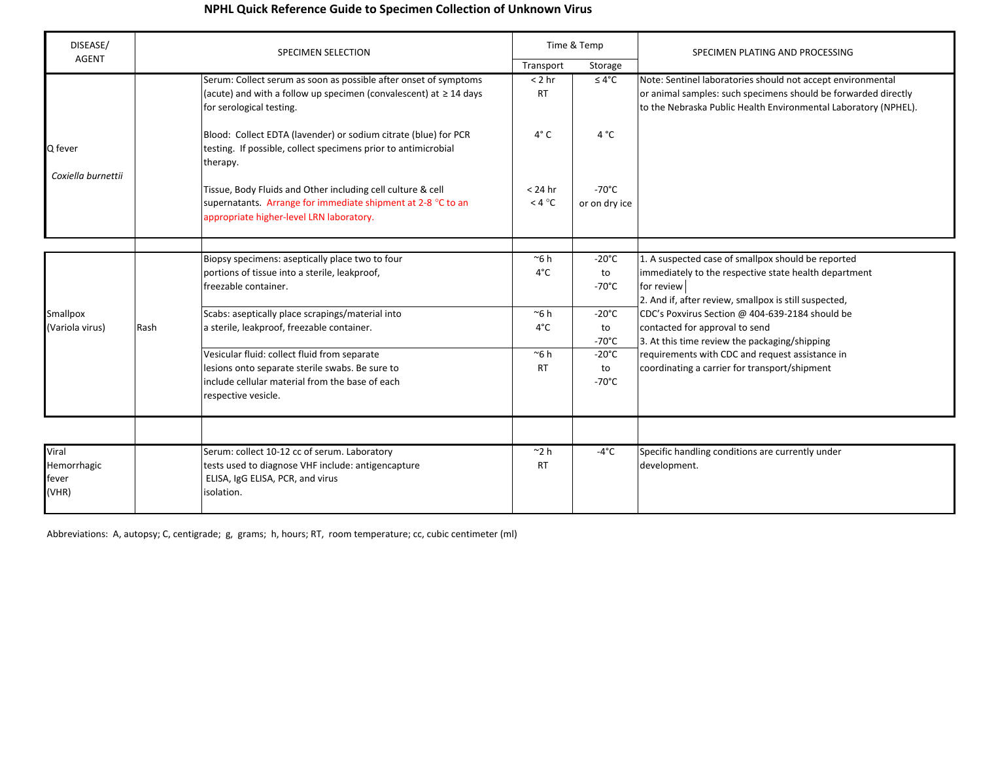## NPHL Quick Reference Guide to Specimen Collection of Unknown Virus

| DISEASE/                               |      | <b>SPECIMEN SELECTION</b>                                                                                                                                                 | Time & Temp                     |                                          | SPECIMEN PLATING AND PROCESSING                                                                                                                                                                  |
|----------------------------------------|------|---------------------------------------------------------------------------------------------------------------------------------------------------------------------------|---------------------------------|------------------------------------------|--------------------------------------------------------------------------------------------------------------------------------------------------------------------------------------------------|
| <b>AGENT</b>                           |      |                                                                                                                                                                           | Transport                       | Storage                                  |                                                                                                                                                                                                  |
|                                        |      | Serum: Collect serum as soon as possible after onset of symptoms<br>(acute) and with a follow up specimen (convalescent) at $\geq$ 14 days<br>for serological testing.    | $< 2$ hr<br><b>RT</b>           | $\leq 4^{\circ}C$                        | Note: Sentinel laboratories should not accept environmental<br>or animal samples: such specimens should be forwarded directly<br>to the Nebraska Public Health Environmental Laboratory (NPHEL). |
| Q fever<br>Coxiella burnettii          |      | Blood: Collect EDTA (lavender) or sodium citrate (blue) for PCR<br>testing. If possible, collect specimens prior to antimicrobial<br>therapy.                             | $4^\circ$ C                     | 4 °C                                     |                                                                                                                                                                                                  |
|                                        |      | Tissue, Body Fluids and Other including cell culture & cell<br>supernatants. Arrange for immediate shipment at 2-8 °C to an<br>appropriate higher-level LRN laboratory.   | $< 24$ hr<br>$<$ 4 $^{\circ}$ C | $-70^{\circ}$ C<br>or on dry ice         |                                                                                                                                                                                                  |
|                                        |      |                                                                                                                                                                           |                                 |                                          |                                                                                                                                                                                                  |
| Smallpox<br>(Variola virus)            | Rash | Biopsy specimens: aseptically place two to four<br>portions of tissue into a sterile, leakproof,<br>freezable container.                                                  | $\approx$ 6 h<br>$4^{\circ}$ C  | $-20^{\circ}$ C<br>to<br>$-70^{\circ}$ C | 1. A suspected case of smallpox should be reported<br>immediately to the respective state health department<br>for review<br>2. And if, after review, smallpox is still suspected,               |
|                                        |      | Scabs: aseptically place scrapings/material into<br>a sterile, leakproof, freezable container.                                                                            | $\sim$ 6 h<br>$4^{\circ}$ C     | $-20^{\circ}$ C<br>to<br>$-70^{\circ}$ C | CDC's Poxvirus Section @ 404-639-2184 should be<br>contacted for approval to send<br>3. At this time review the packaging/shipping                                                               |
|                                        |      | Vesicular fluid: collect fluid from separate<br>lesions onto separate sterile swabs. Be sure to<br>include cellular material from the base of each<br>respective vesicle. | $~\sim$ 6 h<br><b>RT</b>        | $-20^{\circ}$ C<br>to<br>$-70^{\circ}$ C | requirements with CDC and request assistance in<br>coordinating a carrier for transport/shipment                                                                                                 |
|                                        |      |                                                                                                                                                                           |                                 |                                          |                                                                                                                                                                                                  |
| Viral<br>Hemorrhagic<br>fever<br>(VHR) |      | Serum: collect 10-12 cc of serum. Laboratory<br>tests used to diagnose VHF include: antigencapture<br>ELISA, IgG ELISA, PCR, and virus<br>isolation.                      | $^{\sim}$ 2 h<br><b>RT</b>      | $-4^{\circ}$ C                           | Specific handling conditions are currently under<br>development.                                                                                                                                 |

Abbreviations: A, autopsy; C, centigrade; g, grams; h, hours; RT, room temperature; cc, cubic centimeter (ml)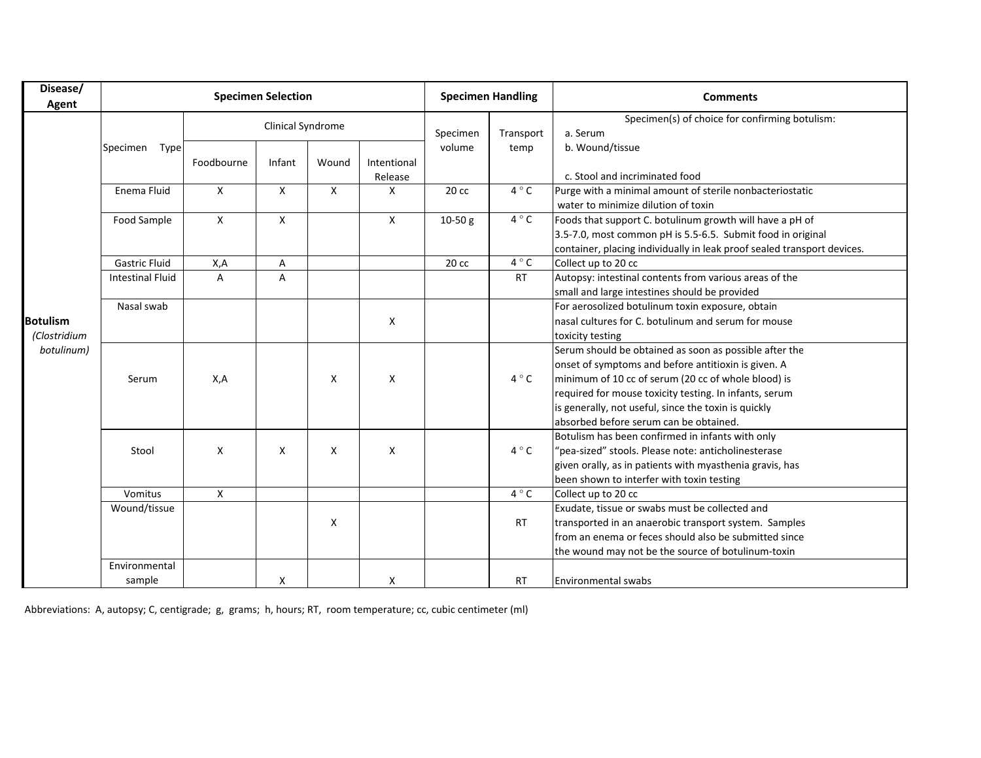| Disease/<br>Agent                             | <b>Specimen Selection</b> |                           |                   |       |                        | <b>Specimen Handling</b> |                | <b>Comments</b>                                                                                                                                                                                                                                                                                                                  |  |  |
|-----------------------------------------------|---------------------------|---------------------------|-------------------|-------|------------------------|--------------------------|----------------|----------------------------------------------------------------------------------------------------------------------------------------------------------------------------------------------------------------------------------------------------------------------------------------------------------------------------------|--|--|
|                                               | Specimen<br>Type          |                           | Clinical Syndrome |       |                        | Specimen<br>volume       | Transport      | Specimen(s) of choice for confirming botulism:<br>a. Serum                                                                                                                                                                                                                                                                       |  |  |
|                                               |                           | Foodbourne                | Infant            | Wound | Intentional<br>Release |                          | temp           | b. Wound/tissue<br>c. Stool and incriminated food                                                                                                                                                                                                                                                                                |  |  |
|                                               | Enema Fluid               | X                         | X                 | X     | X                      | 20 cc                    | $4^{\circ}$ C  | Purge with a minimal amount of sterile nonbacteriostatic<br>water to minimize dilution of toxin                                                                                                                                                                                                                                  |  |  |
|                                               | Food Sample               | X                         | X                 |       | $\mathsf{X}$           | $10-50 g$                | $4^{\circ}$ C  | Foods that support C. botulinum growth will have a pH of<br>3.5-7.0, most common pH is 5.5-6.5. Submit food in original<br>container, placing individually in leak proof sealed transport devices.                                                                                                                               |  |  |
|                                               | Gastric Fluid             | X,A                       | A                 |       |                        | 20 cc                    | $4^{\circ}$ C  | Collect up to 20 cc                                                                                                                                                                                                                                                                                                              |  |  |
| <b>Botulism</b><br>(Clostridium<br>botulinum) | <b>Intestinal Fluid</b>   | $\overline{A}$            | A                 |       |                        |                          | <b>RT</b>      | Autopsy: intestinal contents from various areas of the<br>small and large intestines should be provided                                                                                                                                                                                                                          |  |  |
|                                               | Nasal swab                |                           |                   |       | X                      |                          |                | For aerosolized botulinum toxin exposure, obtain<br>nasal cultures for C. botulinum and serum for mouse<br>toxicity testing                                                                                                                                                                                                      |  |  |
|                                               | Serum                     | X,A                       |                   | X     | X                      |                          | $4^{\circ}$ C  | Serum should be obtained as soon as possible after the<br>onset of symptoms and before antitioxin is given. A<br>minimum of 10 cc of serum (20 cc of whole blood) is<br>required for mouse toxicity testing. In infants, serum<br>is generally, not useful, since the toxin is quickly<br>absorbed before serum can be obtained. |  |  |
|                                               | Stool                     | $\boldsymbol{\mathsf{x}}$ | X                 | X     | X                      |                          | $4^{\circ}$ C  | Botulism has been confirmed in infants with only<br>"pea-sized" stools. Please note: anticholinesterase<br>given orally, as in patients with myasthenia gravis, has<br>been shown to interfer with toxin testing                                                                                                                 |  |  |
|                                               | Vomitus                   | $\mathsf{X}$              |                   |       |                        |                          | 4 $^{\circ}$ C | Collect up to 20 cc                                                                                                                                                                                                                                                                                                              |  |  |
|                                               | Wound/tissue              |                           |                   | X     |                        |                          | <b>RT</b>      | Exudate, tissue or swabs must be collected and<br>transported in an anaerobic transport system. Samples<br>from an enema or feces should also be submitted since<br>the wound may not be the source of botulinum-toxin                                                                                                           |  |  |
|                                               | Environmental<br>sample   |                           | Χ                 |       | Χ                      |                          | <b>RT</b>      | <b>Environmental swabs</b>                                                                                                                                                                                                                                                                                                       |  |  |

Abbreviations: A, autopsy; C, centigrade; g, grams; h, hours; RT, room temperature; cc, cubic centimeter (ml)